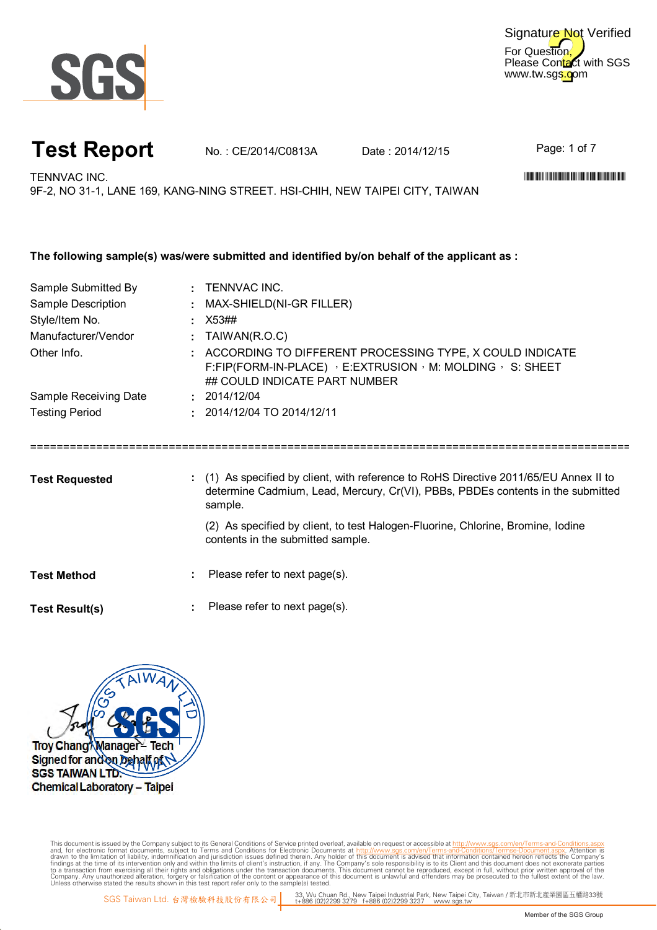

For Question, Please Contact with SGS www.tw.sgs.com Signature Not Verified

# **Test Report** No.: CE/2014/C0813A Date: 2014/12/15

Page: 1 of 7

TENNVAC INC. WELL-FIND TO A CHARGE IN THE CONTRACTION OF THE CONTRACTION OF THE CONTRACTION OF THE CONTRACTION OF THE CONTRACTION OF THE CONTRACT OF THE CONTRACT OF THE CONTRACT OF THE CONTRACT OF THE CONTRACT OF THE CONTR

9F-2, NO 31-1, LANE 169, KANG-NING STREET. HSI-CHIH, NEW TAIPEI CITY, TAIWAN

| Sample Submitted By   | : TENNVAC INC.                                                                                                                                                              |  |  |  |  |  |
|-----------------------|-----------------------------------------------------------------------------------------------------------------------------------------------------------------------------|--|--|--|--|--|
| Sample Description    | : MAX-SHIELD(NI-GR FILLER)                                                                                                                                                  |  |  |  |  |  |
| Style/Item No.        | X53##                                                                                                                                                                       |  |  |  |  |  |
| Manufacturer/Vendor   | TAIWAN(R.O.C)                                                                                                                                                               |  |  |  |  |  |
| Other Info.           | : ACCORDING TO DIFFERENT PROCESSING TYPE, X COULD INDICATE<br>F:FIP(FORM-IN-PLACE) $\cdot$ E:EXTRUSION $\cdot$ M: MOLDING $\cdot$ S: SHEET<br>## COULD INDICATE PART NUMBER |  |  |  |  |  |
| Sample Receiving Date | : 2014/12/04                                                                                                                                                                |  |  |  |  |  |
| <b>Testing Period</b> | $: 2014/12/04$ TO 2014/12/11                                                                                                                                                |  |  |  |  |  |
|                       |                                                                                                                                                                             |  |  |  |  |  |
|                       | : (1) As specified by client, with reference to RoHS Directive 2011/65/EU Annex II to                                                                                       |  |  |  |  |  |
| <b>Test Requested</b> | determine Cadmium, Lead, Mercury, Cr(VI), PBBs, PBDEs contents in the submitted<br>sample.                                                                                  |  |  |  |  |  |
|                       | (2) As specified by client, to test Halogen-Fluorine, Chlorine, Bromine, Iodine<br>contents in the submitted sample.                                                        |  |  |  |  |  |
| <b>Test Method</b>    | Please refer to next page(s).                                                                                                                                               |  |  |  |  |  |



Digitally signed by ww.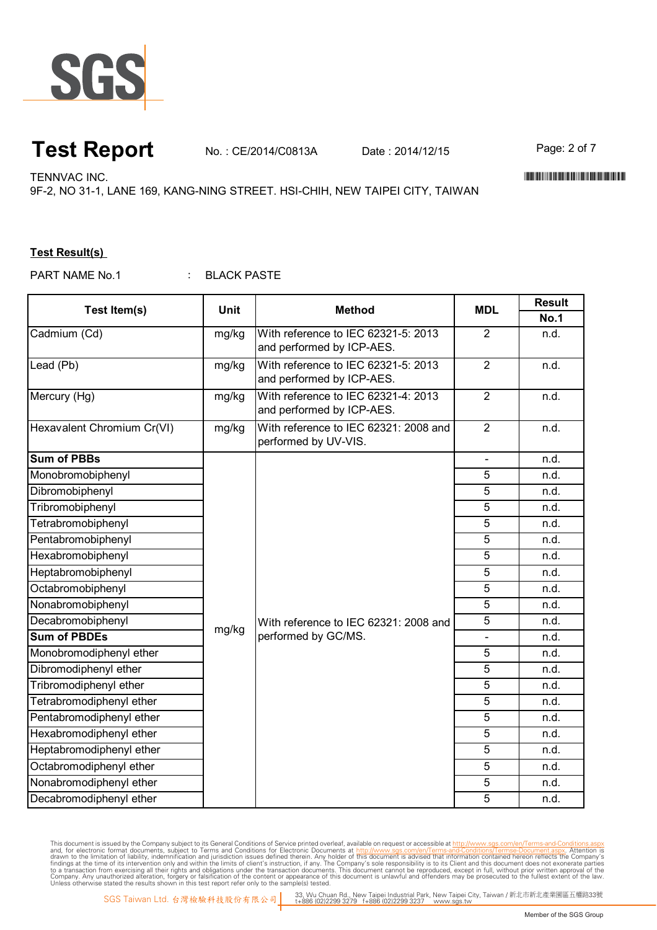

#### **Test Report** No. : CE/2014/C0813A Date : 2014/12/15 Page: 2 of 7

TENNVAC INC. WELL-FIND TO A CHARGE IN THE CONTRACTION OF THE CONTRACTION OF THE CONTRACTION OF THE CONTRACTION OF THE CONTRACTION OF THE CONTRACT OF THE CONTRACT OF THE CONTRACT OF THE CONTRACT OF THE CONTRACT OF THE CONTR

9F-2, NO 31-1, LANE 169, KANG-NING STREET. HSI-CHIH, NEW TAIPEI CITY, TAIWAN

#### **Test Result(s)**

: BLACK PASTE PART NAME No.1

| Test Item(s)               | <b>Unit</b> | <b>Method</b>                                                         | <b>MDL</b>               | <b>Result</b> |
|----------------------------|-------------|-----------------------------------------------------------------------|--------------------------|---------------|
|                            |             |                                                                       |                          | <b>No.1</b>   |
| Cadmium (Cd)               | mg/kg       | With reference to IEC 62321-5: 2013                                   | $\overline{2}$           | n.d.          |
|                            |             | and performed by ICP-AES.                                             |                          |               |
| Lead (Pb)                  | mg/kg       | With reference to IEC 62321-5: 2013                                   | $\overline{2}$           | n.d.          |
|                            |             | and performed by ICP-AES.                                             |                          |               |
| Mercury (Hg)               | mg/kg       | With reference to IEC 62321-4: 2013                                   | $\overline{2}$           | n.d.          |
|                            |             | and performed by ICP-AES.                                             |                          |               |
| Hexavalent Chromium Cr(VI) | mg/kg       | With reference to IEC 62321: 2008 and<br>performed by UV-VIS.         | $\overline{2}$           | n.d.          |
| <b>Sum of PBBs</b>         |             |                                                                       | $\bar{\phantom{a}}$      | n.d.          |
| Monobromobiphenyl          |             | With reference to IEC 62321: 2008 and<br>mg/kg<br>performed by GC/MS. | 5                        | n.d.          |
| Dibromobiphenyl            |             |                                                                       | 5                        | n.d.          |
| Tribromobiphenyl           |             |                                                                       | 5                        | n.d.          |
| Tetrabromobiphenyl         |             |                                                                       | 5                        | n.d.          |
| Pentabromobiphenyl         |             |                                                                       | 5                        | n.d.          |
| Hexabromobiphenyl          |             |                                                                       | 5                        | n.d.          |
| Heptabromobiphenyl         |             |                                                                       | 5                        | n.d.          |
| Octabromobiphenyl          |             |                                                                       | 5                        | n.d.          |
| Nonabromobiphenyl          |             |                                                                       | 5                        | n.d.          |
| Decabromobiphenyl          |             |                                                                       | $\overline{5}$           | n.d.          |
| <b>Sum of PBDEs</b>        |             |                                                                       | $\overline{\phantom{0}}$ | n.d.          |
| Monobromodiphenyl ether    |             |                                                                       | $\overline{5}$           | n.d.          |
| Dibromodiphenyl ether      |             |                                                                       | $\overline{5}$           | n.d.          |
| Tribromodiphenyl ether     |             |                                                                       | $\overline{5}$           | n.d.          |
| Tetrabromodiphenyl ether   |             |                                                                       | 5                        | n.d.          |
| Pentabromodiphenyl ether   |             |                                                                       | 5                        | n.d.          |
| Hexabromodiphenyl ether    |             |                                                                       | 5                        | n.d.          |
| Heptabromodiphenyl ether   |             |                                                                       | 5                        | n.d.          |
| Octabromodiphenyl ether    |             |                                                                       | 5                        | n.d.          |
| Nonabromodiphenyl ether    |             |                                                                       | 5                        | n.d.          |
| Decabromodiphenyl ether    |             |                                                                       | 5                        | n.d.          |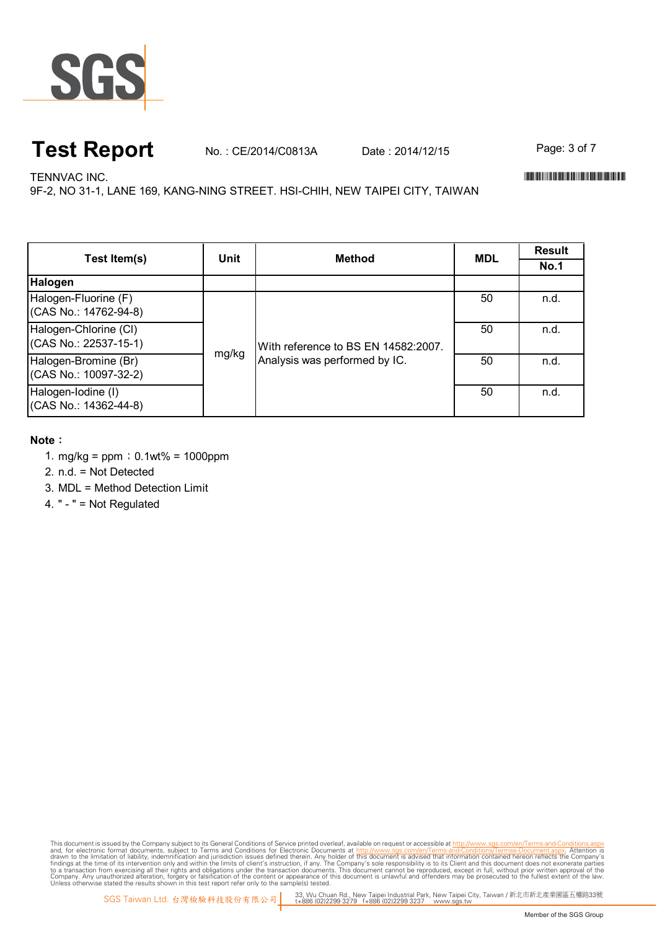

## **Test Report** No. : CE/2014/C0813A Date : 2014/12/15 Page: 3 of 7

TENNVAC INC. WELL-FIND TO A CHARGE IN THE CONTRACTION OF THE CONTRACTION OF THE CONTRACTION OF THE CONTRACTION OF THE CONTRACTION OF THE CONTRACT OF THE CONTRACT OF THE CONTRACT OF THE CONTRACT OF THE CONTRACT OF THE CONTR

9F-2, NO 31-1, LANE 169, KANG-NING STREET. HSI-CHIH, NEW TAIPEI CITY, TAIWAN

| Test Item(s)                                   | Unit  | <b>Method</b>                                                        | <b>MDL</b> | Result      |
|------------------------------------------------|-------|----------------------------------------------------------------------|------------|-------------|
|                                                |       |                                                                      |            | <b>No.1</b> |
| Halogen                                        |       |                                                                      |            |             |
| Halogen-Fluorine (F)<br>(CAS No.: 14762-94-8)  | mg/kg | With reference to BS EN 14582:2007.<br>Analysis was performed by IC. | 50         | n.d.        |
| Halogen-Chlorine (CI)<br>(CAS No.: 22537-15-1) |       |                                                                      | 50         | n.d.        |
| Halogen-Bromine (Br)<br>(CAS No.: 10097-32-2)  |       |                                                                      | 50         | n.d.        |
| Halogen-Iodine (I)<br>(CAS No.: 14362-44-8)    |       |                                                                      | 50         | n.d.        |

#### **Note**:

- 1. mg/kg = ppm;0.1wt% = 1000ppm
- 2. n.d. = Not Detected
- 3. MDL = Method Detection Limit
- 4. " " = Not Regulated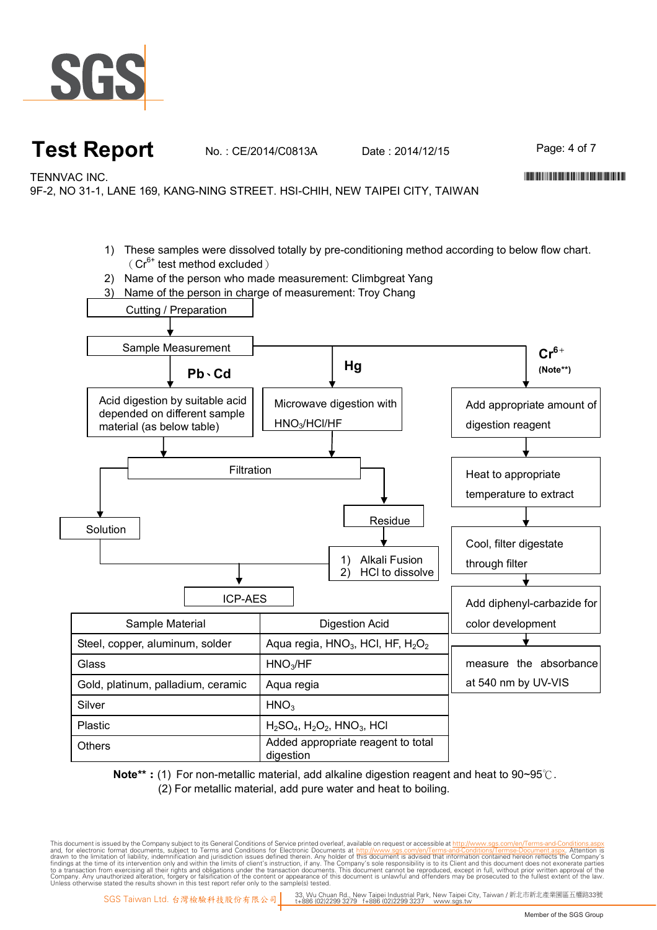

## **Test Report** No.: CE/2014/C0813A Date: 2014/12/15 Page: 4 of 7

TENNVAC INC. \*CE/2014/C0813A\*

9F-2, NO 31-1, LANE 169, KANG-NING STREET. HSI-CHIH, NEW TAIPEI CITY, TAIWAN

- 1) These samples were dissolved totally by pre-conditioning method according to below flow chart.  $(Cr^{6+}$  test method excluded)
- 2) Name of the person who made measurement: Climbgreat Yang
- 3) Name of the person in charge of measurement: Troy Chang



**Note\*\***:(1) For non-metallic material, add alkaline digestion reagent and heat to 90~95℃. (2) For metallic material, add pure water and heat to boiling.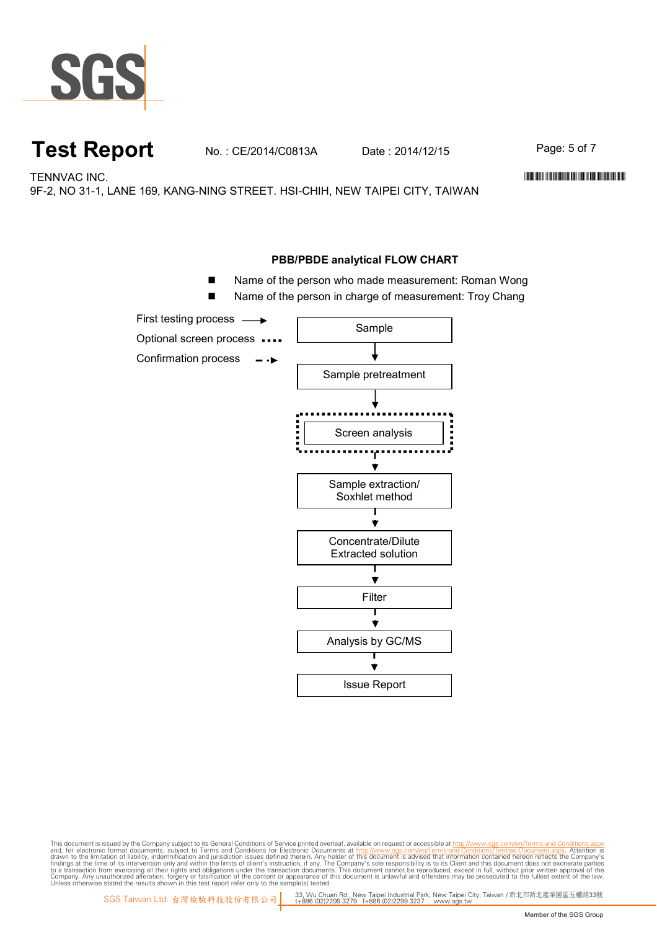

## **Test Report** No.: CE/2014/C0813A Date: 2014/12/15 Page: 5 of 7

TENNVAC INC. WELL-FIND TO A CHARGE IN THE CONTRACTION OF THE CONTRACTION OF THE CONTRACTION OF THE CONTRACTION OF THE CONTRACTION OF THE CONTRACT OF THE CONTRACT OF THE CONTRACT OF THE CONTRACT OF THE CONTRACT OF THE CONTR

9F-2, NO 31-1, LANE 169, KANG-NING STREET. HSI-CHIH, NEW TAIPEI CITY, TAIWAN

#### **PBB/PBDE analytical FLOW CHART**

- Name of the person who made measurement: Roman Wong
- Name of the person in charge of measurement: Troy Chang

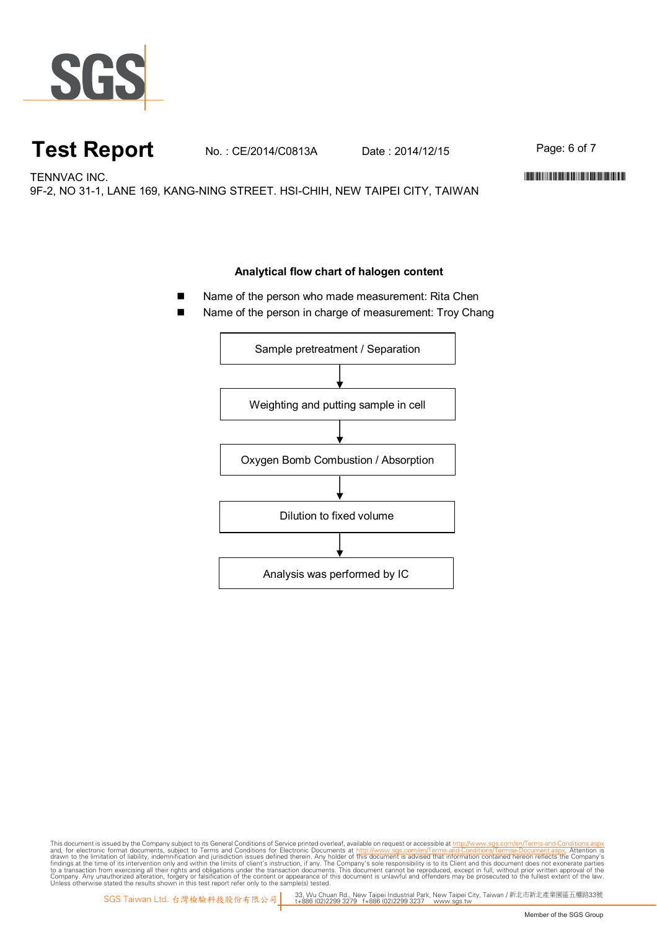

## **Test Report** No. : CE/2014/C0813A Date : 2014/12/15 Page: 6 of 7

TENNVAC INC. WELL-FIND TO A CHARGE THE SERVICE OF THE SERVICE OF THE SERVICE OF THE SERVICE OF THE SERVICE OF THE SERVICE OF THE SERVICE OF THE SERVICE OF THE SERVICE OF THE SERVICE OF THE SERVICE OF THE SERVICE OF THE SER

9F-2, NO 31-1, LANE 169, KANG-NING STREET. HSI-CHIH, NEW TAIPEI CITY, TAIWAN

#### **Analytical flow chart of halogen content**

- Name of the person who made measurement: Rita Chen
- Name of the person in charge of measurement: Troy Chang